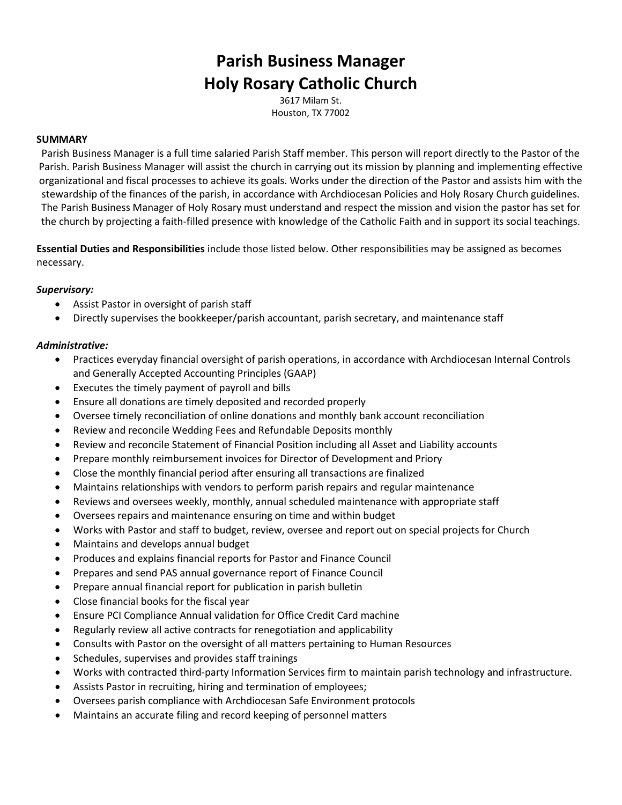# **Parish Business Manager Holy Rosary Catholic Church**

3617 Milam St. Houston, TX 77002

## **SUMMARY**

Parish Business Manager is a full time salaried Parish Staff member. This person will report directly to the Pastor of the Parish. Parish Business Manager will assist the church in carrying out its mission by planning and implementing effective organizational and fiscal processes to achieve its goals. Works under the direction of the Pastor and assists him with the stewardship of the finances of the parish, in accordance with Archdiocesan Policies and Holy Rosary Church guidelines. The Parish Business Manager of Holy Rosary must understand and respect the mission and vision the pastor has set for the church by projecting a faith-filled presence with knowledge of the Catholic Faith and in support its social teachings.

**Essential Duties and Responsibilities** include those listed below. Other responsibilities may be assigned as becomes necessary.

#### *Supervisory:*

- Assist Pastor in oversight of parish staff
- Directly supervises the bookkeeper/parish accountant, parish secretary, and maintenance staff

#### *Administrative:*

- Practices everyday financial oversight of parish operations, in accordance with Archdiocesan Internal Controls and Generally Accepted Accounting Principles (GAAP)
- Executes the timely payment of payroll and bills
- Ensure all donations are timely deposited and recorded properly
- Oversee timely reconciliation of online donations and monthly bank account reconciliation
- Review and reconcile Wedding Fees and Refundable Deposits monthly
- Review and reconcile Statement of Financial Position including all Asset and Liability accounts
- Prepare monthly reimbursement invoices for Director of Development and Priory
- Close the monthly financial period after ensuring all transactions are finalized
- Maintains relationships with vendors to perform parish repairs and regular maintenance
- Reviews and oversees weekly, monthly, annual scheduled maintenance with appropriate staff
- Oversees repairs and maintenance ensuring on time and within budget
- Works with Pastor and staff to budget, review, oversee and report out on special projects for Church
- Maintains and develops annual budget
- Produces and explains financial reports for Pastor and Finance Council
- Prepares and send PAS annual governance report of Finance Council
- Prepare annual financial report for publication in parish bulletin
- Close financial books for the fiscal year
- Ensure PCI Compliance Annual validation for Office Credit Card machine
- Regularly review all active contracts for renegotiation and applicability
- Consults with Pastor on the oversight of all matters pertaining to Human Resources
- Schedules, supervises and provides staff trainings
- Works with contracted third-party Information Services firm to maintain parish technology and infrastructure.
- Assists Pastor in recruiting, hiring and termination of employees;
- Oversees parish compliance with Archdiocesan Safe Environment protocols
- Maintains an accurate filing and record keeping of personnel matters